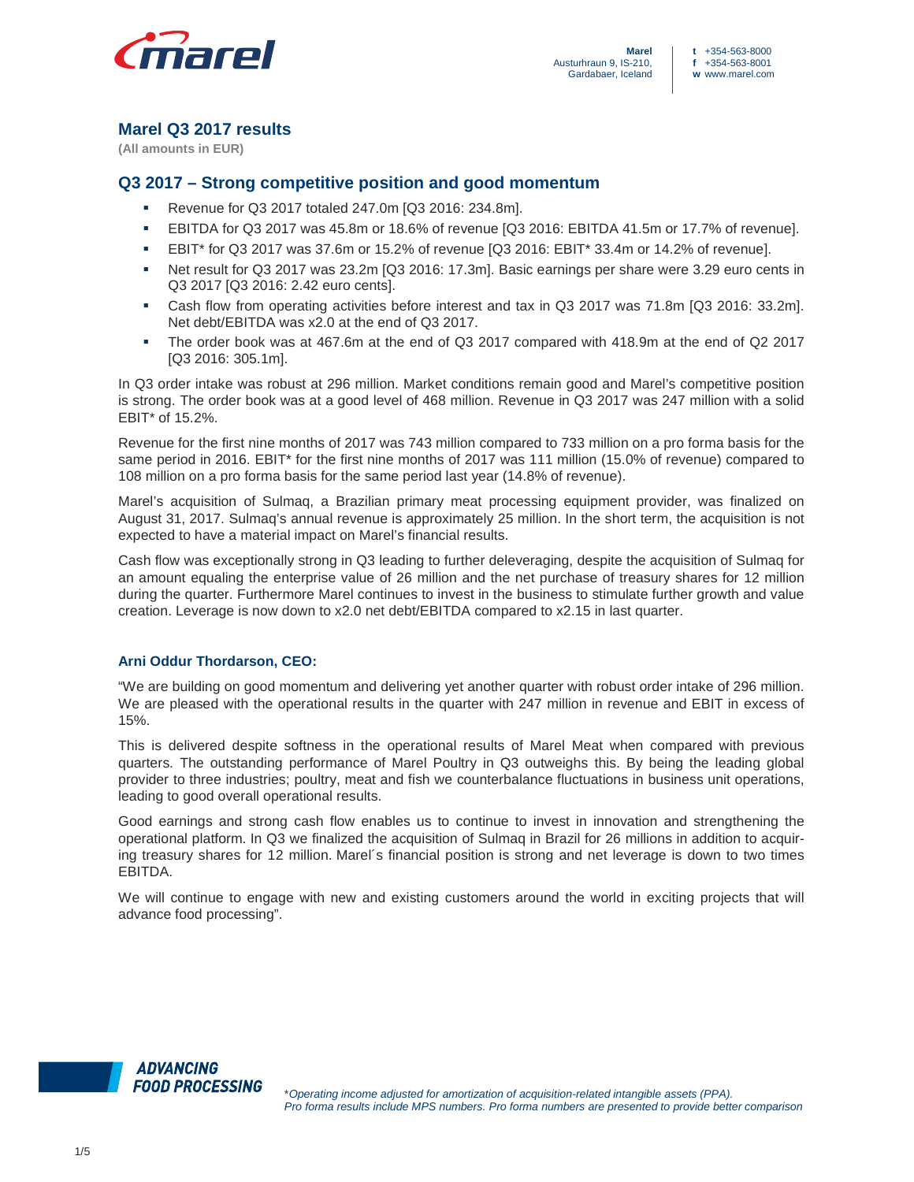

# **Marel Q3 2017 results**

**(All amounts in EUR)** 

# **Q3 2017 – Strong competitive position and good momentum**

- Revenue for Q3 2017 totaled 247.0m [Q3 2016: 234.8m].
- EBITDA for Q3 2017 was 45.8m or 18.6% of revenue [Q3 2016: EBITDA 41.5m or 17.7% of revenue].
- EBIT\* for Q3 2017 was 37.6m or 15.2% of revenue [Q3 2016: EBIT\* 33.4m or 14.2% of revenue].
- Net result for Q3 2017 was 23.2m [Q3 2016: 17.3m]. Basic earnings per share were 3.29 euro cents in Q3 2017 [Q3 2016: 2.42 euro cents].
- Cash flow from operating activities before interest and tax in Q3 2017 was 71.8m [Q3 2016: 33.2m]. Net debt/EBITDA was x2.0 at the end of Q3 2017.
- The order book was at 467.6m at the end of Q3 2017 compared with 418.9m at the end of Q2 2017 [Q3 2016: 305.1m].

In Q3 order intake was robust at 296 million. Market conditions remain good and Marel's competitive position is strong. The order book was at a good level of 468 million. Revenue in Q3 2017 was 247 million with a solid EBIT\* of 15.2%.

Revenue for the first nine months of 2017 was 743 million compared to 733 million on a pro forma basis for the same period in 2016. EBIT\* for the first nine months of 2017 was 111 million (15.0% of revenue) compared to 108 million on a pro forma basis for the same period last year (14.8% of revenue).

Marel's acquisition of Sulmaq, a Brazilian primary meat processing equipment provider, was finalized on August 31, 2017. Sulmaq's annual revenue is approximately 25 million. In the short term, the acquisition is not expected to have a material impact on Marel's financial results.

Cash flow was exceptionally strong in Q3 leading to further deleveraging, despite the acquisition of Sulmaq for an amount equaling the enterprise value of 26 million and the net purchase of treasury shares for 12 million during the quarter. Furthermore Marel continues to invest in the business to stimulate further growth and value creation. Leverage is now down to x2.0 net debt/EBITDA compared to x2.15 in last quarter.

# **Arni Oddur Thordarson, CEO:**

"We are building on good momentum and delivering yet another quarter with robust order intake of 296 million. We are pleased with the operational results in the quarter with 247 million in revenue and EBIT in excess of 15%.

This is delivered despite softness in the operational results of Marel Meat when compared with previous quarters. The outstanding performance of Marel Poultry in Q3 outweighs this. By being the leading global provider to three industries; poultry, meat and fish we counterbalance fluctuations in business unit operations, leading to good overall operational results.

Good earnings and strong cash flow enables us to continue to invest in innovation and strengthening the operational platform. In Q3 we finalized the acquisition of Sulmaq in Brazil for 26 millions in addition to acquiring treasury shares for 12 million. Marel´s financial position is strong and net leverage is down to two times EBITDA.

We will continue to engage with new and existing customers around the world in exciting projects that will advance food processing".

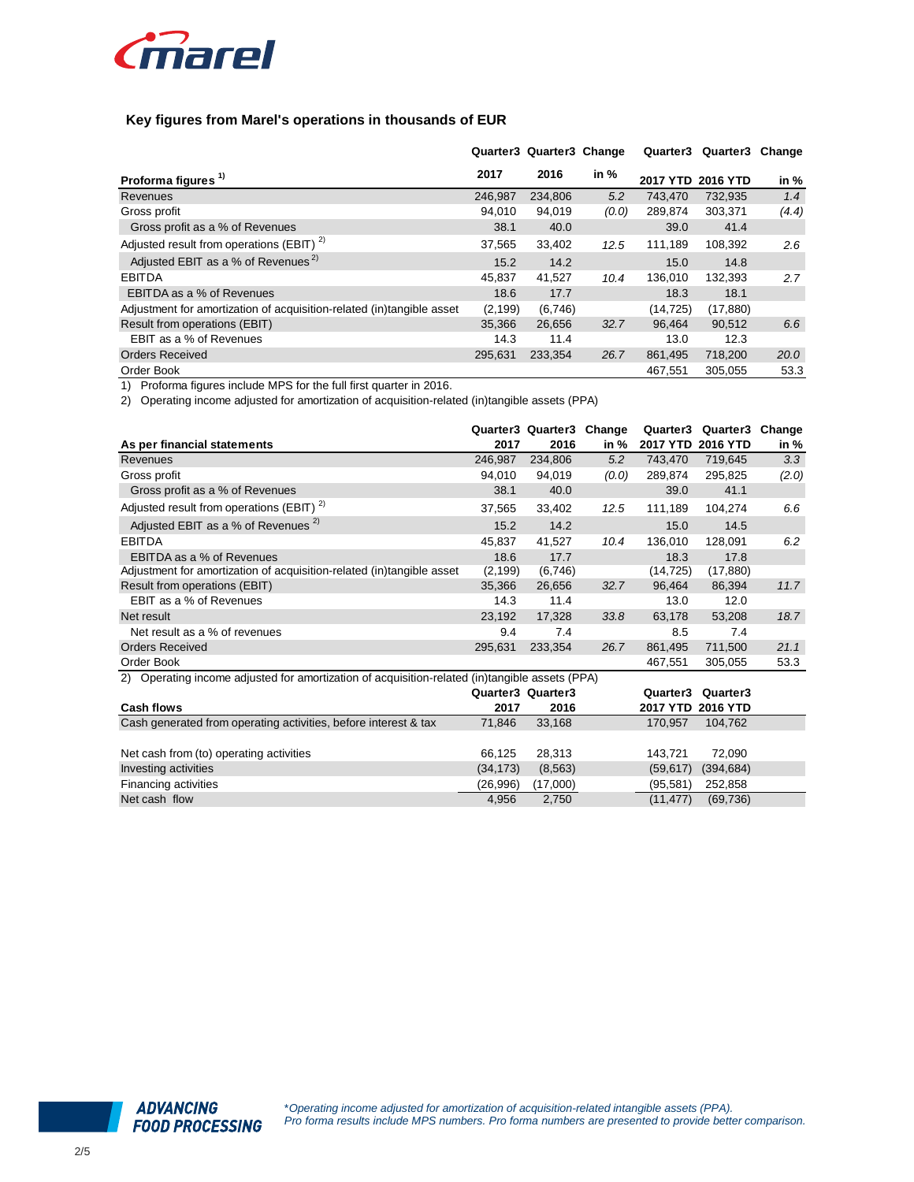

## **Key figures from Marel's operations in thousands of EUR**

|                                                                       |          | Quarter3 Quarter3 Change |        | Quarter3          | Quarter3 | Change |
|-----------------------------------------------------------------------|----------|--------------------------|--------|-------------------|----------|--------|
| Proforma figures <sup>1)</sup>                                        | 2017     | 2016                     | in $%$ | 2017 YTD 2016 YTD |          | in %   |
| Revenues                                                              | 246.987  | 234,806                  | 5.2    | 743.470           | 732,935  | 1.4    |
| Gross profit                                                          | 94.010   | 94,019                   | (0.0)  | 289,874           | 303,371  | (4.4)  |
| Gross profit as a % of Revenues                                       | 38.1     | 40.0                     |        | 39.0              | 41.4     |        |
| Adjusted result from operations (EBIT) $2$                            | 37.565   | 33,402                   | 12.5   | 111.189           | 108,392  | 2.6    |
| Adjusted EBIT as a % of Revenues <sup>2)</sup>                        | 15.2     | 14.2                     |        | 15.0              | 14.8     |        |
| <b>EBITDA</b>                                                         | 45,837   | 41,527                   | 10.4   | 136.010           | 132,393  | 2.7    |
| EBITDA as a % of Revenues                                             | 18.6     | 17.7                     |        | 18.3              | 18.1     |        |
| Adjustment for amortization of acquisition-related (in)tangible asset | (2, 199) | (6,746)                  |        | (14,725)          | (17,880) |        |
| Result from operations (EBIT)                                         | 35,366   | 26,656                   | 32.7   | 96.464            | 90.512   | 6.6    |
| EBIT as a % of Revenues                                               | 14.3     | 11.4                     |        | 13.0              | 12.3     |        |
| <b>Orders Received</b>                                                | 295.631  | 233,354                  | 26.7   | 861,495           | 718,200  | 20.0   |
| Order Book                                                            |          |                          |        | 467.551           | 305.055  | 53.3   |

1) Proforma figures include MPS for the full first quarter in 2016.

2) Operating income adjusted for amortization of acquisition-related (in)tangible assets (PPA)

| As per financial statements                                                                       | Quarter3<br>2017 | Quarter3<br>2016 | Change<br>in % | Quarter3<br><b>2017 YTD</b> | Quarter3<br><b>2016 YTD</b> | Change<br>in % |
|---------------------------------------------------------------------------------------------------|------------------|------------------|----------------|-----------------------------|-----------------------------|----------------|
| Revenues                                                                                          | 246,987          | 234,806          | 5.2            | 743.470                     | 719,645                     | 3.3            |
| Gross profit                                                                                      | 94,010           | 94,019           | (0.0)          | 289,874                     | 295,825                     | (2.0)          |
| Gross profit as a % of Revenues                                                                   | 38.1             | 40.0             |                | 39.0                        | 41.1                        |                |
| Adjusted result from operations (EBIT) <sup>2)</sup>                                              | 37,565           | 33,402           | 12.5           | 111,189                     | 104,274                     | 6.6            |
| Adjusted EBIT as a % of Revenues <sup>2)</sup>                                                    | 15.2             | 14.2             |                | 15.0                        | 14.5                        |                |
| <b>EBITDA</b>                                                                                     | 45,837           | 41,527           | 10.4           | 136,010                     | 128,091                     | 6.2            |
| EBITDA as a % of Revenues                                                                         | 18.6             | 17.7             |                | 18.3                        | 17.8                        |                |
| Adjustment for amortization of acquisition-related (in)tangible asset                             | (2, 199)         | (6,746)          |                | (14, 725)                   | (17, 880)                   |                |
| Result from operations (EBIT)                                                                     | 35,366           | 26,656           | 32.7           | 96,464                      | 86,394                      | 11.7           |
| EBIT as a % of Revenues                                                                           | 14.3             | 11.4             |                | 13.0                        | 12.0                        |                |
| Net result                                                                                        | 23.192           | 17.328           | 33.8           | 63,178                      | 53,208                      | 18.7           |
| Net result as a % of revenues                                                                     | 9.4              | 7.4              |                | 8.5                         | 7.4                         |                |
| <b>Orders Received</b>                                                                            | 295,631          | 233,354          | 26.7           | 861,495                     | 711,500                     | 21.1           |
| Order Book                                                                                        |                  |                  |                | 467,551                     | 305,055                     | 53.3           |
| Operating income adjusted for amortization of acquisition-related (in)tangible assets (PPA)<br>2) |                  |                  |                |                             |                             |                |
|                                                                                                   | 0.000020000002   |                  |                |                             | $0.00002$ $0.00002$         |                |

|                                                                 | Quarter3 Quarter3 |          | Quarter3 Quarter3       |
|-----------------------------------------------------------------|-------------------|----------|-------------------------|
| <b>Cash flows</b>                                               | 2017              | 2016     | 2017 YTD 2016 YTD       |
| Cash generated from operating activities, before interest & tax | 71.846            | 33,168   | 170.957<br>104.762      |
|                                                                 |                   |          |                         |
| Net cash from (to) operating activities                         | 66.125            | 28.313   | 72.090<br>143.721       |
| Investing activities                                            | (34, 173)         | (8,563)  | (394, 684)<br>(59, 617) |
| Financing activities                                            | (26,996)          | (17,000) | (95.581)<br>252,858     |
| Net cash flow                                                   | 4,956             | 2,750    | (11, 477)<br>(69, 736)  |

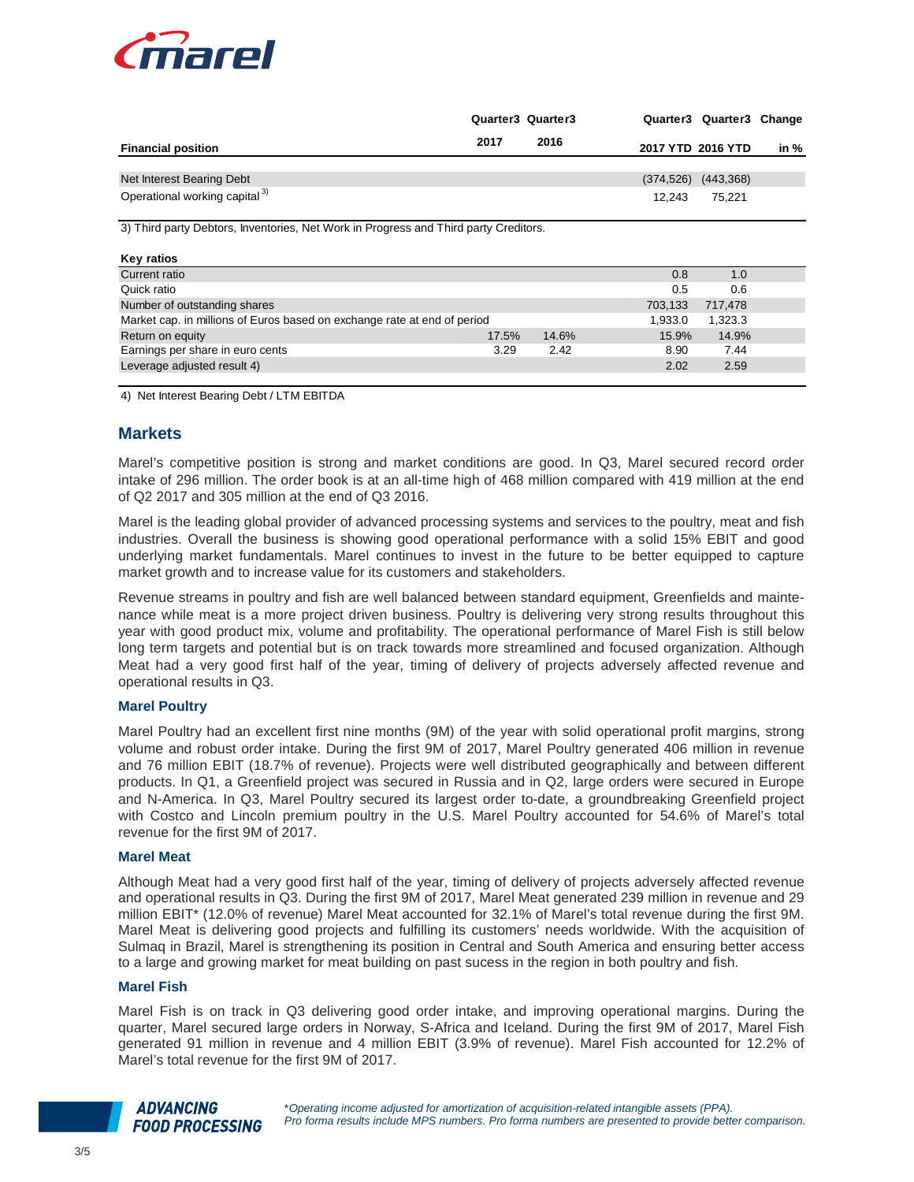

|                                                                                      |       | Quarter3 Quarter3 |            | Quarter3 Quarter3 Change |      |  |
|--------------------------------------------------------------------------------------|-------|-------------------|------------|--------------------------|------|--|
| <b>Financial position</b>                                                            | 2017  | 2016              |            | 2017 YTD 2016 YTD        | in % |  |
| Net Interest Bearing Debt                                                            |       |                   | (374, 526) | (443, 368)               |      |  |
| Operational working capital <sup>3)</sup>                                            |       |                   | 12,243     | 75,221                   |      |  |
| 3) Third party Debtors, Inventories, Net Work in Progress and Third party Creditors. |       |                   |            |                          |      |  |
| Key ratios                                                                           |       |                   |            |                          |      |  |
| Current ratio                                                                        |       |                   | 0.8        | 1.0                      |      |  |
| Quick ratio                                                                          |       |                   | 0.5        | 0.6                      |      |  |
| Number of outstanding shares                                                         |       |                   | 703,133    | 717,478                  |      |  |
| Market cap. in millions of Euros based on exchange rate at end of period             |       |                   | 1,933.0    | 1,323.3                  |      |  |
| Return on equity                                                                     | 17.5% | 14.6%             | 15.9%      | 14.9%                    |      |  |
| Earnings per share in euro cents                                                     | 3.29  | 2.42              | 8.90       | 7.44                     |      |  |
| Leverage adjusted result 4)                                                          |       |                   | 2.02       | 2.59                     |      |  |

4) Net Interest Bearing Debt / LTM EBITDA

### **Markets**

Marel's competitive position is strong and market conditions are good. In Q3, Marel secured record order intake of 296 million. The order book is at an all-time high of 468 million compared with 419 million at the end of Q2 2017 and 305 million at the end of Q3 2016.

Marel is the leading global provider of advanced processing systems and services to the poultry, meat and fish industries. Overall the business is showing good operational performance with a solid 15% EBIT and good underlying market fundamentals. Marel continues to invest in the future to be better equipped to capture market growth and to increase value for its customers and stakeholders.

Revenue streams in poultry and fish are well balanced between standard equipment, Greenfields and maintenance while meat is a more project driven business. Poultry is delivering very strong results throughout this year with good product mix, volume and profitability. The operational performance of Marel Fish is still below long term targets and potential but is on track towards more streamlined and focused organization. Although Meat had a very good first half of the year, timing of delivery of projects adversely affected revenue and operational results in Q3.

### **Marel Poultry**

Marel Poultry had an excellent first nine months (9M) of the year with solid operational profit margins, strong volume and robust order intake. During the first 9M of 2017, Marel Poultry generated 406 million in revenue and 76 million EBIT (18.7% of revenue). Projects were well distributed geographically and between different products. In Q1, a Greenfield project was secured in Russia and in Q2, large orders were secured in Europe and N-America. In Q3, Marel Poultry secured its largest order to-date, a groundbreaking Greenfield project with Costco and Lincoln premium poultry in the U.S. Marel Poultry accounted for 54.6% of Marel's total revenue for the first 9M of 2017.

### **Marel Meat**

Although Meat had a very good first half of the year, timing of delivery of projects adversely affected revenue and operational results in Q3. During the first 9M of 2017, Marel Meat generated 239 million in revenue and 29 million EBIT\* (12.0% of revenue) Marel Meat accounted for 32.1% of Marel's total revenue during the first 9M. Marel Meat is delivering good projects and fulfilling its customers' needs worldwide. With the acquisition of Sulmaq in Brazil, Marel is strengthening its position in Central and South America and ensuring better access to a large and growing market for meat building on past sucess in the region in both poultry and fish.

## **Marel Fish**

Marel Fish is on track in Q3 delivering good order intake, and improving operational margins. During the quarter, Marel secured large orders in Norway, S-Africa and Iceland. During the first 9M of 2017, Marel Fish generated 91 million in revenue and 4 million EBIT (3.9% of revenue). Marel Fish accounted for 12.2% of Marel's total revenue for the first 9M of 2017.

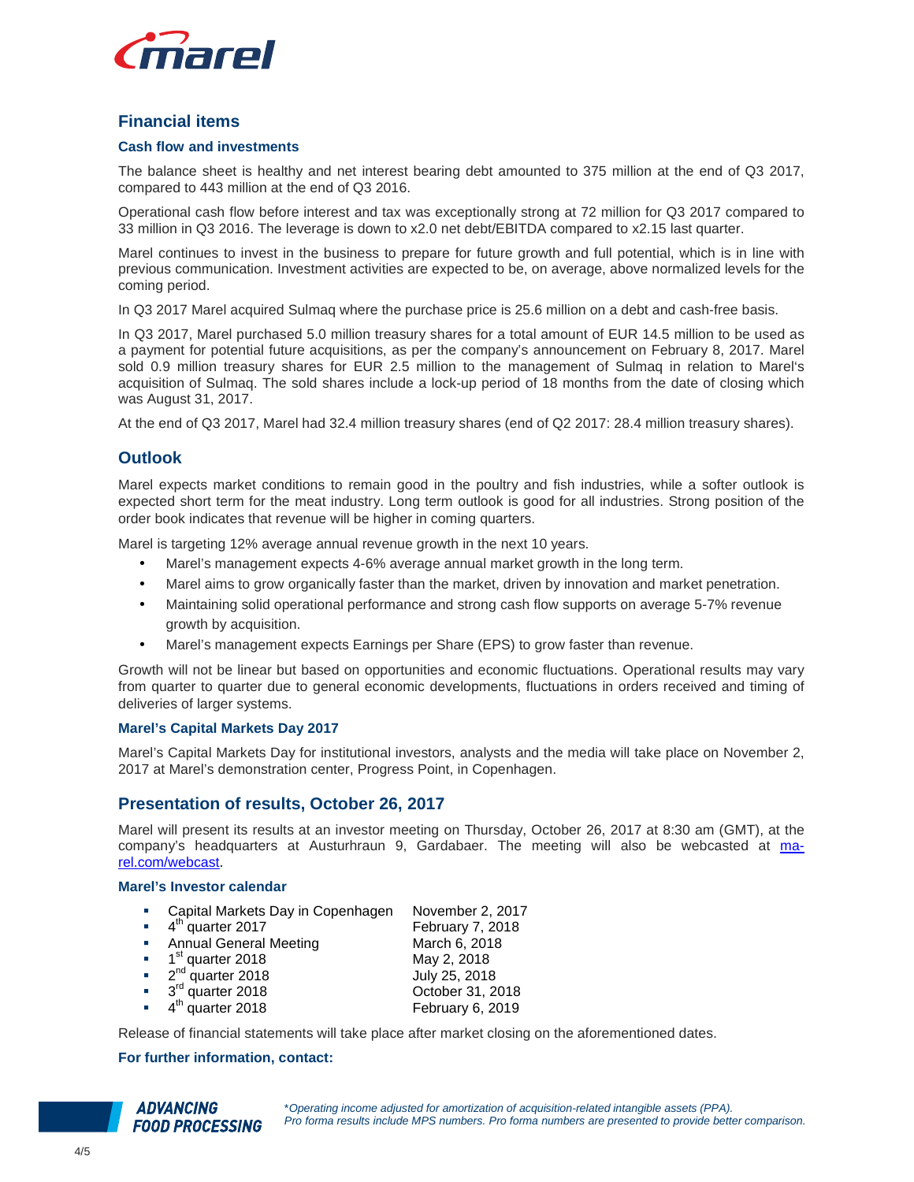

# **Financial items**

## **Cash flow and investments**

The balance sheet is healthy and net interest bearing debt amounted to 375 million at the end of Q3 2017, compared to 443 million at the end of Q3 2016.

Operational cash flow before interest and tax was exceptionally strong at 72 million for Q3 2017 compared to 33 million in Q3 2016. The leverage is down to x2.0 net debt/EBITDA compared to x2.15 last quarter.

Marel continues to invest in the business to prepare for future growth and full potential, which is in line with previous communication. Investment activities are expected to be, on average, above normalized levels for the coming period.

In Q3 2017 Marel acquired Sulmaq where the purchase price is 25.6 million on a debt and cash-free basis.

In Q3 2017, Marel purchased 5.0 million treasury shares for a total amount of EUR 14.5 million to be used as a payment for potential future acquisitions, as per the company's announcement on February 8, 2017. Marel sold 0.9 million treasury shares for EUR 2.5 million to the management of Sulmaq in relation to Marel's acquisition of Sulmaq. The sold shares include a lock-up period of 18 months from the date of closing which was August 31, 2017.

At the end of Q3 2017, Marel had 32.4 million treasury shares (end of Q2 2017: 28.4 million treasury shares).

# **Outlook**

Marel expects market conditions to remain good in the poultry and fish industries, while a softer outlook is expected short term for the meat industry. Long term outlook is good for all industries. Strong position of the order book indicates that revenue will be higher in coming quarters.

Marel is targeting 12% average annual revenue growth in the next 10 years.

- Marel's management expects 4-6% average annual market growth in the long term.
- Marel aims to grow organically faster than the market, driven by innovation and market penetration.
- Maintaining solid operational performance and strong cash flow supports on average 5-7% revenue growth by acquisition.
- Marel's management expects Earnings per Share (EPS) to grow faster than revenue.

Growth will not be linear but based on opportunities and economic fluctuations. Operational results may vary from quarter to quarter due to general economic developments, fluctuations in orders received and timing of deliveries of larger systems.

#### **Marel's Capital Markets Day 2017**

Marel's Capital Markets Day for institutional investors, analysts and the media will take place on November 2, 2017 at Marel's demonstration center, Progress Point, in Copenhagen.

## **Presentation of results, October 26, 2017**

Marel will present its results at an investor meeting on Thursday, October 26, 2017 at 8:30 am (GMT), at the company's headquarters at Austurhraun 9, Gardabaer. The meeting will also be webcasted at marel.com/webcast.

#### **Marel's Investor calendar**

- Capital Markets Day in Copenhagen November 2, 2017
- $\bullet$  4<sup>th</sup> quarter 2017 February 7, 2018 Annual General Meeting March 6, 2018  $\blacksquare$  1<sup>st</sup> quarter 2018  $2<sup>nd</sup>$  quarter 2018 July 25, 2018 3 rd quarter 2018 October 31, 2018 <sup>th</sup> quarter 2018 **February 6, 2019**

Release of financial statements will take place after market closing on the aforementioned dates.

### **For further information, contact:**